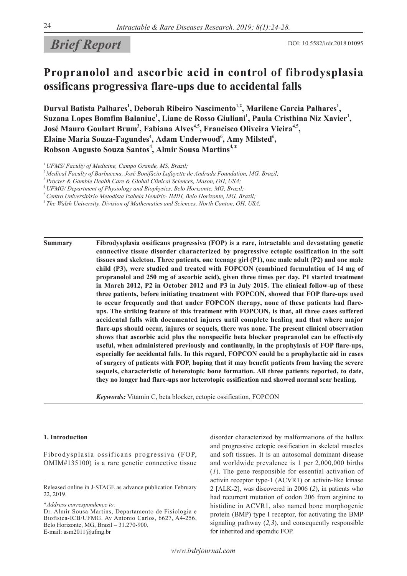# *Brief Report* DOI: 10.5582/irdr.2018.01095

# **Propranolol and ascorbic acid in control of fibrodysplasia ossificans progressiva flare-ups due to accidental falls**

Durval Batista Palhares<sup>1</sup>, Deborah Ribeiro Nascimento<sup>1,2</sup>, Marilene Garcia Palhares<sup>1</sup>, Suzana Lopes Bomfim Balaniuc<sup>1</sup>, Liane de Rosso Giuliani<sup>1</sup>, Paula Cristhina Niz Xavier<sup>1</sup>, **José Mauro Goulart Brum<sup>3</sup>, Fabiana Alves<sup>4,5</sup>, Francisco Oliveira Vieira<sup>4,5</sup>,** Elaine Maria Souza-Fagundes<sup>4</sup>, Adam Underwood<sup>6</sup>, Amy Milsted<sup>6</sup>, **Robson Augusto Souza Santos<sup>4</sup> , Almir Sousa Martins4,**\*

**Summary Fibrodysplasia ossificans progressiva (FOP) is a rare, intractable and devastating genetic connective tissue disorder characterized by progressive ectopic ossification in the soft tissues and skeleton. Three patients, one teenage girl (P1), one male adult (P2) and one male child (P3), were studied and treated with FOPCON (combined formulation of 14 mg of propranolol and 250 mg of ascorbic acid), given three times per day. P1 started treatment in March 2012, P2 in October 2012 and P3 in July 2015. The clinical follow-up of these three patients, before initiating treatment with FOPCON, showed that FOP flare-ups used to occur frequently and that under FOPCON therapy, none of these patients had flareups. The striking feature of this treatment with FOPCON, is that, all three cases suffered accidental falls with documented injures until complete healing and that where major flare-ups should occur, injures or sequels, there was none. The present clinical observation shows that ascorbic acid plus the nonspecific beta blocker propranolol can be effectively useful, when administered previously and continually, in the prophylaxis of FOP flare-ups, especially for accidental falls. In this regard, FOPCON could be a prophylactic aid in cases of surgery of patients with FOP, hoping that it may benefit patients from having the severe sequels, characteristic of heterotopic bone formation. All three patients reported, to date, they no longer had flare-ups nor heterotopic ossification and showed normal scar healing.**

*Keywords:* Vitamin C, beta blocker, ectopic ossification, FOPCON

#### **1. Introduction**

Fibrodysplasia ossificans progressiva (FOP, OMIM#135100) is a rare genetic connective tissue

\**Address correspondence to:* Dr. Almir Sousa Martins, Departamento de Fisiologia e Biofísica-ICB/UFMG. Av Antonio Carlos, 6627, A4-256,

Belo Horizonte, MG, Brazil – 31.270-900. E-mail: asm2011@ufmg.br

disorder characterized by malformations of the hallux and progressive ectopic ossification in skeletal muscles and soft tissues. It is an autosomal dominant disease and worldwide prevalence is 1 per 2,000,000 births (*1*). The gene responsible for essential activation of activin receptor type-1 (ACVR1) or activin-like kinase 2 [ALK-2], was discovered in 2006 (*2*), in patients who had recurrent mutation of codon 206 from arginine to histidine in ACVR1, also named bone morphogenic protein (BMP) type I receptor, for activating the BMP signaling pathway (*2,3*), and consequently responsible for inherited and sporadic FOP.

<sup>1</sup>*UFMS/ Faculty of Medicine, Campo Grande, MS, Brazil;*

<sup>2</sup>*Medical Faculty of Barbacena, José Bonifácio Lafayette de Andrada Foundation, MG, Brazil;*

<sup>3</sup>*Procter & Gamble Health Care & Global Clinical Sciences, Mason, OH, USA;*

<sup>4</sup>*UFMG/ Department of Physiology and Biophysics, Belo Horizonte, MG, Brazil;*

<sup>5</sup>*Centro Universitário Metodista Izabela Hendrix- IMIH, Belo Horizonte, MG, Brazil;*

<sup>6</sup>*The Walsh University, Division of Mathematics and Sciences, North Canton, OH, USA.*

Released online in J-STAGE as advance publication February 22, 2019.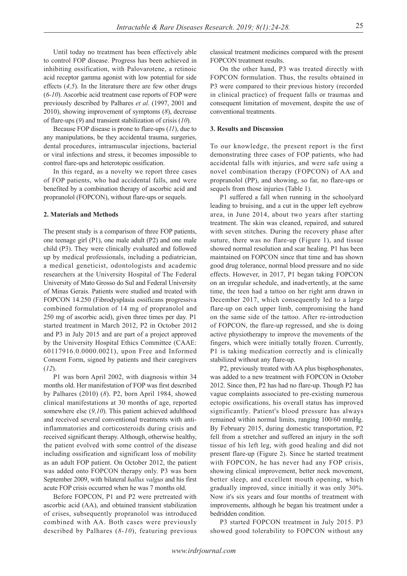Until today no treatment has been effectively able to control FOP disease. Progress has been achieved in inhibiting ossification, with Palovarotene, a retinoic acid receptor gamma agonist with low potential for side effects (*4,5*). In the literature there are few other drugs (*6-10*). Ascorbic acid treatment case reports of FOP were previously described by Palhares *et al*. (1997, 2001 and 2010), showing improvement of symptoms (*8*), decrease of flare-ups (*9*) and transient stabilization of crisis (*10*).

Because FOP disease is prone to flare-ups (*11*), due to any manipulations, be they accidental trauma, surgeries, dental procedures, intramuscular injections, bacterial or viral infections and stress, it becomes impossible to control flare-ups and heterotopic ossification.

In this regard, as a novelty we report three cases of FOP patients, who had accidental falls, and were benefited by a combination therapy of ascorbic acid and propranolol (FOPCON), without flare-ups or sequels.

#### **2. Materials and Methods**

The present study is a comparison of three FOP patients, one teenage girl (P1), one male adult (P2) and one male child (P3). They were clinically evaluated and followed up by medical professionals, including a pediatrician, a medical geneticist, odontologists and academic researchers at the University Hospital of The Federal University of Mato Grosso do Sul and Federal University of Minas Gerais. Patients were studied and treated with FOPCON 14.250 (Fibrodysplasia ossificans progressiva combined formulation of 14 mg of propranolol and 250 mg of ascorbic acid), given three times per day. P1 started treatment in March 2012, P2 in October 2012 and P3 in July 2015 and are part of a project approved by the University Hospital Ethics Committee (CAAE: 60117916.0.0000.0021), upon Free and Informed Consent Form, signed by patients and their caregivers (*12*).

P1 was born April 2002, with diagnosis within 34 months old. Her manifestation of FOP was first described by Palhares (2010) (*8*). P2, born April 1984, showed clinical manifestations at 30 months of age, reported somewhere else (*9,10*). This patient achieved adulthood and received several conventional treatments with antiinflammatories and corticosteroids during crisis and received significant therapy. Although, otherwise healthy, the patient evolved with some control of the disease including ossification and significant loss of mobility as an adult FOP patient. On October 2012, the patient was added onto FOPCON therapy only. P3 was born September 2009, with bilateral *hallux valgus* and his first acute FOP crisis occurred when he was 7 months old.

Before FOPCON, P1 and P2 were pretreated with ascorbic acid (AA), and obtained transient stabilization of crises, subsequently propranolol was introduced combined with AA. Both cases were previously described by Palhares (*8-10*), featuring previous

classical treatment medicines compared with the present FOPCON treatment results.

On the other hand, P3 was treated directly with FOPCON formulation. Thus, the results obtained in P3 were compared to their previous history (recorded in clinical practice) of frequent falls or traumas and consequent limitation of movement, despite the use of conventional treatments.

# **3. Results and Discussion**

To our knowledge, the present report is the first demonstrating three cases of FOP patients, who had accidental falls with injuries, and were safe using a novel combination therapy (FOPCON) of AA and propranolol (PP), and showing, so far, no flare-ups or sequels from those injuries (Table 1).

P1 suffered a fall when running in the schoolyard leading to bruising, and a cut in the upper left eyebrow area, in June 2014, about two years after starting treatment. The skin was cleaned, repaired, and sutured with seven stitches. During the recovery phase after suture, there was no flare-up (Figure 1), and tissue showed normal resolution and scar healing. P1 has been maintained on FOPCON since that time and has shown good drug tolerance, normal blood pressure and no side effects. However, in 2017, P1 began taking FOPCON on an irregular schedule, and inadvertently, at the same time, the teen had a tattoo on her right arm drawn in December 2017, which consequently led to a large flare-up on each upper limb, compromising the hand on the same side of the tattoo. After re-introduction of FOPCON, the flare-up regressed, and she is doing active physiotherapy to improve the movements of the fingers, which were initially totally frozen. Currently, P1 is taking medication correctly and is clinically stabilized without any flare-up.

P2, previously treated with AA plus bisphosphonates, was added to a new treatment with FOPCON in October 2012. Since then, P2 has had no flare-up. Though P2 has vague complaints associated to pre-existing numerous ectopic ossifications, his overall status has improved significantly. Patient's blood pressure has always remained within normal limits, ranging 100/60 mmHg. By February 2015, during domestic transportation, P2 fell from a stretcher and suffered an injury in the soft tissue of his left leg, with good healing and did not present flare-up (Figure 2). Since he started treatment with FOPCON, he has never had any FOP crisis, showing clinical improvement, better neck movement, better sleep, and excellent mouth opening, which gradually improved, since initially it was only 30%. Now it's six years and four months of treatment with improvements, although he began his treatment under a bedridden condition.

P3 started FOPCON treatment in July 2015. P3 showed good tolerability to FOPCON without any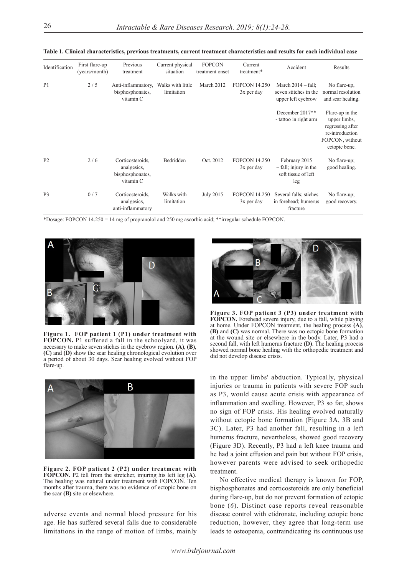| Identification | First flare-up<br>(years/month) | Previous<br>treatment                                            | Current physical<br>situation   | <b>FOPCON</b><br>treatment onset | Current<br>treatment*                | Accident                                                                    | Results                                                                                                    |
|----------------|---------------------------------|------------------------------------------------------------------|---------------------------------|----------------------------------|--------------------------------------|-----------------------------------------------------------------------------|------------------------------------------------------------------------------------------------------------|
| P1             | 2/5                             | Anti-inflammatory,<br>bisphosphonates,<br>vitamin C              | Walks with little<br>limitation | March 2012                       | <b>FOPCON 14.250</b><br>3x per day   | March $2014 - \text{fall}$ ;<br>seven stitches in the<br>upper left eyebrow | No flare-up,<br>normal resolution<br>and scar healing.                                                     |
|                |                                 |                                                                  |                                 |                                  |                                      | December 2017**<br>- tattoo in right arm                                    | Flare-up in the<br>upper limbs,<br>regressing after<br>re-introduction<br>FOPCON, without<br>ectopic bone. |
| P <sub>2</sub> | 2/6                             | Corticosteroids,<br>analgesics,<br>bisphosphonates,<br>vitamin C | Bedridden                       | Oct. 2012                        | <b>FOPCON 14.250</b><br>$3x$ per day | February 2015<br>$-$ fall; injury in the<br>soft tissue of left<br>leg      | No flare-up;<br>good healing.                                                                              |
| P <sub>3</sub> | 0/7                             | Corticosteroids,<br>analgesics,<br>anti-inflammatory             | Walks with<br>limitation        | July 2015                        | <b>FOPCON 14.250</b><br>3x per day   | Several falls; stiches<br>in forehead; humerus<br>fracture                  | No flare-up;<br>good recovery.                                                                             |

**Table 1. Clinical characteristics, previous treatments, current treatment characteristics and results for each individual case**

\*Dosage: FOPCON 14.250 = 14 mg of propranolol and 250 mg ascorbic acid; \*\*irregular schedule FOPCON.



**Figure 1. FOP patient 1 (P1) under treatment with FOPCON.** P1 suffered a fall in the schoolyard, it was necessary to make seven stiches in the eyebrow region. **(A)**, **(B)**, **(C)** and **(D)** show the scar healing chronological evolution over a period of about 30 days. Scar healing evolved without FOP flare-up.



**Figure 2. FOP patient 2 (P2) under treatment with FOPCON.** P2 fell from the stretcher, injuring his left leg **(A)**. The healing was natural under treatment with FOPCON. Ten months after trauma, there was no evidence of ectopic bone on the scar **(B)** site or elsewhere.

adverse events and normal blood pressure for his age. He has suffered several falls due to considerable limitations in the range of motion of limbs, mainly



**Figure 3. FOP patient 3 (P3) under treatment with FOPCON.** Forehead severe injury, due to a fall, while playing at home. Under FOPCON treatment, the healing process **(A)**, **(B)** and **(C)** was normal. There was no ectopic bone formation at the wound site or elsewhere in the body. Later, P3 had a second fall, with left humerus fracture **(D)**. The healing process showed normal bone healing with the orthopedic treatment and did not develop disease crisis.

in the upper limbs' abduction. Typically, physical injuries or trauma in patients with severe FOP such as P3, would cause acute crisis with appearance of inflammation and swelling. However, P3 so far, shows no sign of FOP crisis. His healing evolved naturally without ectopic bone formation (Figure 3A, 3B and 3C). Later, P3 had another fall, resulting in a left humerus fracture, nevertheless, showed good recovery (Figure 3D). Recently, P3 had a left knee trauma and he had a joint effusion and pain but without FOP crisis, however parents were advised to seek orthopedic treatment.

No effective medical therapy is known for FOP, bisphosphonates and corticosteroids are only beneficial during flare-up, but do not prevent formation of ectopic bone (*6*). Distinct case reports reveal reasonable disease control with etidronate, including ectopic bone reduction, however, they agree that long-term use leads to osteopenia, contraindicating its continuous use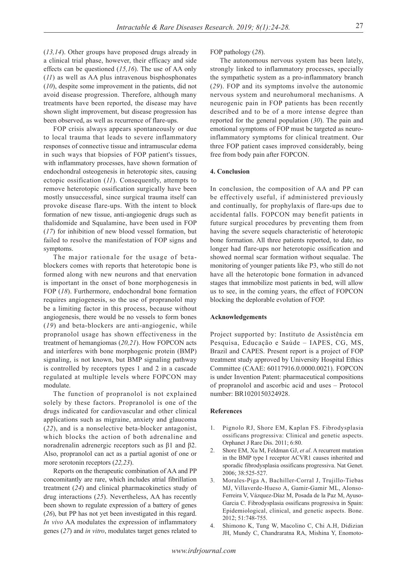(*13,14*). Other groups have proposed drugs already in a clinical trial phase, however, their efficacy and side effects can be questioned (*15,16*). The use of AA only (*11*) as well as AA plus intravenous bisphosphonates (*10*), despite some improvement in the patients, did not avoid disease progression. Therefore, although many treatments have been reported, the disease may have shown slight improvement, but disease progression has been observed, as well as recurrence of flare-ups.

FOP crisis always appears spontaneously or due to local trauma that leads to severe inflammatory responses of connective tissue and intramuscular edema in such ways that biopsies of FOP patient's tissues, with inflammatory processes, have shown formation of endochondral osteogenesis in heterotopic sites, causing ectopic ossification (*11*). Consequently, attempts to remove heterotopic ossification surgically have been mostly unsuccessful, since surgical trauma itself can provoke disease flare-ups. With the intent to block formation of new tissue, anti-angiogenic drugs such as thalidomide and Squalamine, have been used in FOP (*17*) for inhibition of new blood vessel formation, but failed to resolve the manifestation of FOP signs and symptoms.

The major rationale for the usage of betablockers comes with reports that heterotopic bone is formed along with new neurons and that enervation is important in the onset of bone morphogenesis in FOP (*18*). Furthermore, endochondral bone formation requires angiogenesis, so the use of propranolol may be a limiting factor in this process, because without angiogenesis, there would be no vessels to form bones (*19*) and beta-blockers are anti-angiogenic, while propranolol usage has shown effectiveness in the treatment of hemangiomas (*20,21*). How FOPCON acts and interferes with bone morphogenic protein (BMP) signaling, is not known, but BMP signaling pathway is controlled by receptors types 1 and 2 in a cascade regulated at multiple levels where FOPCON may modulate.

The function of propranolol is not explained solely by these factors. Propranolol is one of the drugs indicated for cardiovascular and other clinical applications such as migraine, anxiety and glaucoma (*22*), and is a nonselective beta-blocker antagonist, which blocks the action of both adrenaline and noradrenalin adrenergic receptors such as β1 and β2. Also, propranolol can act as a partial agonist of one or more serotonin receptors (*22,23*).

Reports on the therapeutic combination of AA and PP concomitantly are rare, which includes atrial fibrillation treatment (*24*) and clinical pharmacokinetics study of drug interactions (*25*). Nevertheless, AA has recently been shown to regulate expression of a battery of genes (*26*), but PP has not yet been investigated in this regard. *In vivo* AA modulates the expression of inflammatory genes (*27*) and *in vitro*, modulates target genes related to

FOP pathology (*28*).

The autonomous nervous system has been lately, strongly linked to inflammatory processes, specially the sympathetic system as a pro-inflammatory branch (*29*). FOP and its symptoms involve the autonomic nervous system and neurohumoral mechanisms. A neurogenic pain in FOP patients has been recently described and to be of a more intense degree than reported for the general population (*30*). The pain and emotional symptoms of FOP must be targeted as neuroinflammatory symptoms for clinical treatment. Our three FOP patient cases improved considerably, being free from body pain after FOPCON.

# **4. Conclusion**

In conclusion, the composition of AA and PP can be effectively useful, if administered previously and continually, for prophylaxis of flare-ups due to accidental falls. FOPCON may benefit patients in future surgical procedures by preventing them from having the severe sequels characteristic of heterotopic bone formation. All three patients reported, to date, no longer had flare-ups nor heterotopic ossification and showed normal scar formation without sequalae. The monitoring of younger patients like P3, who still do not have all the heterotopic bone formation in advanced stages that immobilize most patients in bed, will allow us to see, in the coming years, the effect of FOPCON blocking the deplorable evolution of FOP.

### **Acknowledgements**

Project supported by: Instituto de Assistência em Pesquisa, Educação e Saúde – IAPES, CG, MS, Brazil and CAPES. Present report is a project of FOP treatment study approved by University Hospital Ethics Committee (CAAE: 60117916.0.0000.0021). FOPCON is under Invention Patent: pharmaceutical compositions of propranolol and ascorbic acid and uses – Protocol number: BR1020150324928.

#### **References**

- 1. Pignolo RJ, Shore EM, Kaplan FS. Fibrodysplasia ossificans progressiva: Clinical and genetic aspects. Orphanet J Rare Dis. 2011; 6:80.
- 2. Shore EM, Xu M, Feldman GJ, *et al*. A recurrent mutation in the BMP type I receptor ACVR1 causes inherited and sporadic fibrodysplasia ossificans progressiva. Nat Genet. 2006; 38:525-527.
- 3. Morales-Piga A, Bachiller-Corral J, Trujillo-Tiebas MJ, Villaverde-Hueso A, Gamir-Gamir ML, Alonso-Ferreira V, Vázquez-Díaz M, Posada de la Paz M, Ayuso-Garcia C. Fibrodysplasia ossificans progressiva in Spain: Epidemiological, clinical, and genetic aspects. Bone. 2012; 51:748-755.
- 4. Shimono K, Tung W, Macolino C, Chi A.H, Didizian JH, Mundy C, Chandraratna RA, Mishina Y, Enomoto-